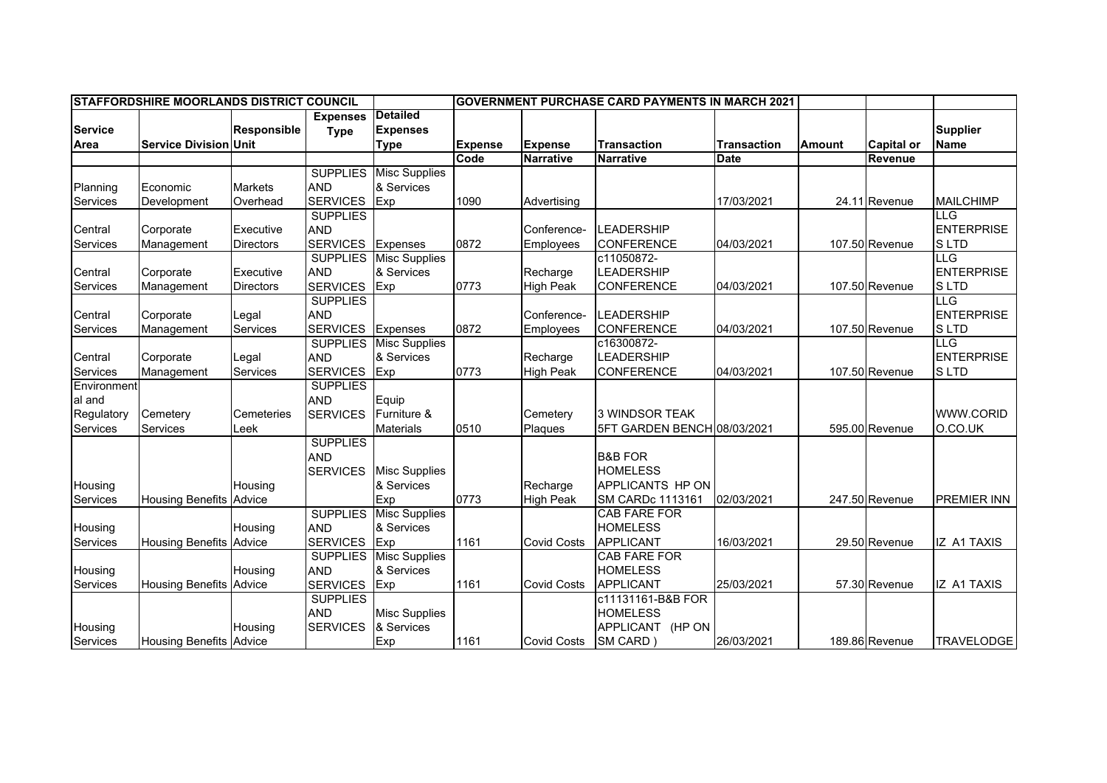|                 | <b>ISTAFFORDSHIRE MOORLANDS DISTRICT COUNCIL</b> |                    |                 |                      |                |                    | <b>IGOVERNMENT PURCHASE CARD PAYMENTS IN MARCH 2021</b> |                    |               |                   |                    |
|-----------------|--------------------------------------------------|--------------------|-----------------|----------------------|----------------|--------------------|---------------------------------------------------------|--------------------|---------------|-------------------|--------------------|
|                 |                                                  |                    | <b>Expenses</b> | <b>Detailed</b>      |                |                    |                                                         |                    |               |                   |                    |
| <b>Service</b>  |                                                  | <b>Responsible</b> | <b>Type</b>     | <b>Expenses</b>      |                |                    |                                                         |                    |               |                   | <b>Supplier</b>    |
| Area            | <b>Service Division Unit</b>                     |                    |                 | <b>Type</b>          | <b>Expense</b> | <b>Expense</b>     | <b>Transaction</b>                                      | <b>Transaction</b> | <b>Amount</b> | <b>Capital or</b> | <b>Name</b>        |
|                 |                                                  |                    |                 |                      | Code           | <b>Narrative</b>   | <b>Narrative</b>                                        | <b>Date</b>        |               | Revenue           |                    |
|                 |                                                  |                    | <b>SUPPLIES</b> | <b>Misc Supplies</b> |                |                    |                                                         |                    |               |                   |                    |
| Planning        | Economic                                         | <b>Markets</b>     | <b>AND</b>      | & Services           |                |                    |                                                         |                    |               |                   |                    |
| Services        | Development                                      | Overhead           | <b>SERVICES</b> | Exp                  | 1090           | Advertising        |                                                         | 17/03/2021         |               | 24.11 Revenue     | <b>MAILCHIMP</b>   |
|                 |                                                  |                    | <b>SUPPLIES</b> |                      |                |                    |                                                         |                    |               |                   | <b>ILLG</b>        |
| Central         | Corporate                                        | Executive          | <b>AND</b>      |                      |                | Conference-        | <b>LEADERSHIP</b>                                       |                    |               |                   | <b>ENTERPRISE</b>  |
| Services        | Management                                       | <b>Directors</b>   | <b>SERVICES</b> | Expenses             | 0872           | Employees          | <b>CONFERENCE</b>                                       | 04/03/2021         |               | 107.50 Revenue    | <b>SLTD</b>        |
|                 |                                                  |                    | <b>SUPPLIES</b> | <b>Misc Supplies</b> |                |                    | c11050872-                                              |                    |               |                   | <b>LLG</b>         |
| Central         | Corporate                                        | Executive          | <b>AND</b>      | & Services           |                | Recharge           | <b>LEADERSHIP</b>                                       |                    |               |                   | <b>ENTERPRISE</b>  |
| Services        | Management                                       | <b>Directors</b>   | <b>SERVICES</b> | Exp                  | 0773           | <b>High Peak</b>   | <b>CONFERENCE</b>                                       | 04/03/2021         |               | 107.50 Revenue    | <b>SLTD</b>        |
|                 |                                                  |                    | <b>SUPPLIES</b> |                      |                |                    |                                                         |                    |               |                   | <b>ILLG</b>        |
| Central         | Corporate                                        | Legal              | <b>AND</b>      |                      |                | Conference-        | LEADERSHIP                                              |                    |               |                   | <b>ENTERPRISE</b>  |
| Services        | Management                                       | Services           | <b>SERVICES</b> | Expenses             | 0872           | Employees          | <b>CONFERENCE</b>                                       | 04/03/2021         |               | 107.50 Revenue    | <b>SLTD</b>        |
|                 |                                                  |                    | <b>SUPPLIES</b> | <b>Misc Supplies</b> |                |                    | c16300872-                                              |                    |               |                   | <b>LLG</b>         |
| Central         | Corporate                                        | Legal              | <b>AND</b>      | & Services           |                | Recharge           | <b>LEADERSHIP</b>                                       |                    |               |                   | <b>ENTERPRISE</b>  |
| <b>Services</b> | Management                                       | Services           | <b>SERVICES</b> | Exp                  | 0773           | <b>High Peak</b>   | <b>CONFERENCE</b>                                       | 04/03/2021         |               | 107.50 Revenue    | <b>SLTD</b>        |
| Environment     |                                                  |                    | <b>SUPPLIES</b> |                      |                |                    |                                                         |                    |               |                   |                    |
| al and          |                                                  |                    | <b>AND</b>      | Equip                |                |                    |                                                         |                    |               |                   |                    |
| Regulatory      | Cemetery                                         | Cemeteries         | <b>SERVICES</b> | Furniture &          |                | Cemetery           | 3 WINDSOR TEAK                                          |                    |               |                   | WWW.CORID          |
| Services        | Services                                         | Leek               |                 | <b>Materials</b>     | 0510           | Plaques            | 5FT GARDEN BENCH 08/03/2021                             |                    |               | 595.00 Revenue    | O.CO.UK            |
|                 |                                                  |                    | <b>SUPPLIES</b> |                      |                |                    |                                                         |                    |               |                   |                    |
|                 |                                                  |                    | <b>AND</b>      |                      |                |                    | <b>B&amp;B FOR</b>                                      |                    |               |                   |                    |
|                 |                                                  |                    | <b>SERVICES</b> | <b>Misc Supplies</b> |                |                    | <b>HOMELESS</b>                                         |                    |               |                   |                    |
| Housing         |                                                  | Housing            |                 | & Services           |                | Recharge           | <b>APPLICANTS HP ON</b>                                 |                    |               |                   |                    |
| <b>Services</b> | Housing Benefits Advice                          |                    |                 | Exp                  | 0773           | <b>High Peak</b>   | SM CARDc 1113161                                        | 02/03/2021         |               | 247.50 Revenue    | <b>PREMIER INN</b> |
|                 |                                                  |                    | <b>SUPPLIES</b> | <b>Misc Supplies</b> |                |                    | <b>CAB FARE FOR</b>                                     |                    |               |                   |                    |
| Housing         |                                                  | Housing            | <b>AND</b>      | & Services           |                |                    | <b>HOMELESS</b>                                         |                    |               |                   |                    |
| Services        | <b>Housing Benefits</b>                          | Advice             | <b>SERVICES</b> | Exp                  | 1161           | <b>Covid Costs</b> | APPLICANT                                               | 16/03/2021         |               | 29.50 Revenue     | <b>IZ A1 TAXIS</b> |
|                 |                                                  |                    | <b>SUPPLIES</b> | <b>Misc Supplies</b> |                |                    | <b>CAB FARE FOR</b>                                     |                    |               |                   |                    |
| Housing         |                                                  | Housing            | <b>AND</b>      | & Services           |                |                    | <b>HOMELESS</b>                                         |                    |               |                   |                    |
| Services        | <b>Housing Benefits Advice</b>                   |                    | <b>SERVICES</b> | Exp                  | 1161           | <b>Covid Costs</b> | <b>APPLICANT</b>                                        | 25/03/2021         |               | 57.30 Revenue     | <b>IZ A1 TAXIS</b> |
|                 |                                                  |                    | <b>SUPPLIES</b> |                      |                |                    | c11131161-B&B FOR                                       |                    |               |                   |                    |
|                 |                                                  |                    | <b>AND</b>      | <b>Misc Supplies</b> |                |                    | <b>HOMELESS</b>                                         |                    |               |                   |                    |
| Housing         |                                                  | Housing            | <b>SERVICES</b> | & Services           |                |                    | APPLICANT (HP ON                                        |                    |               |                   |                    |
| Services        | <b>Housing Benefits Advice</b>                   |                    |                 | Exp                  | 1161           | <b>Covid Costs</b> | SM CARD)                                                | 26/03/2021         |               | 189.86 Revenue    | <b>TRAVELODGE</b>  |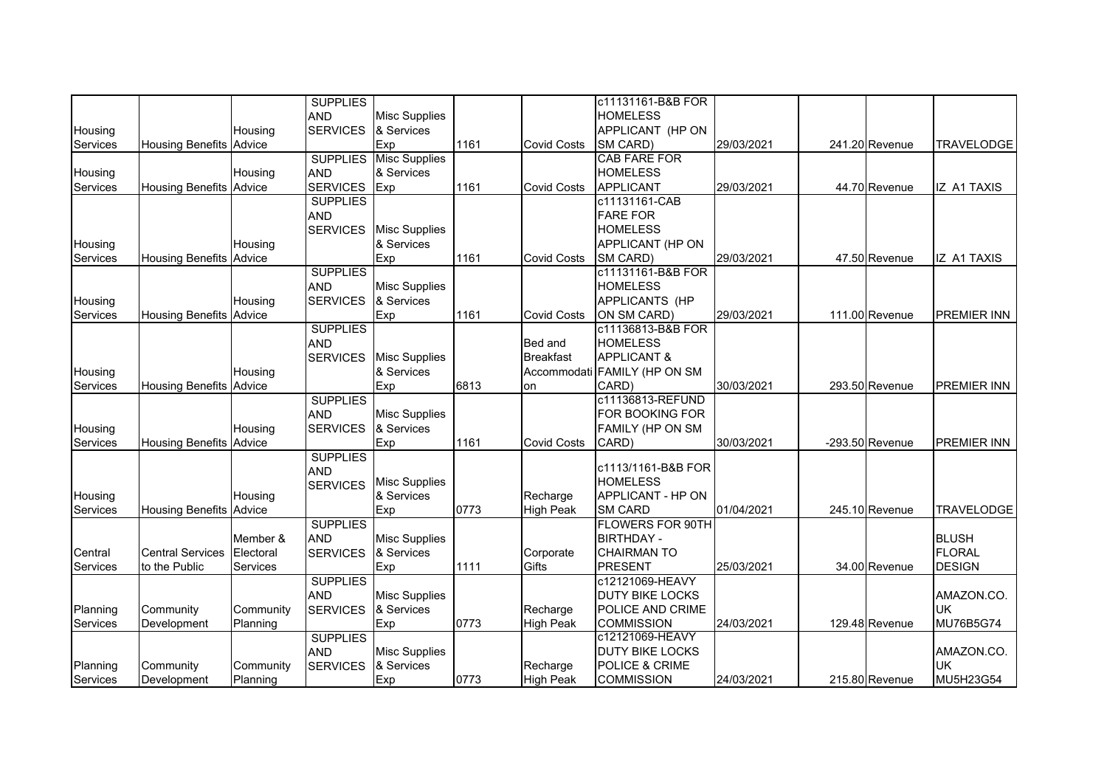|          |                                |           | <b>SUPPLIES</b> |                      |      |                    | c11131161-B&B FOR            |            |                   |                    |
|----------|--------------------------------|-----------|-----------------|----------------------|------|--------------------|------------------------------|------------|-------------------|--------------------|
|          |                                |           | <b>AND</b>      | <b>Misc Supplies</b> |      |                    | <b>HOMELESS</b>              |            |                   |                    |
| Housing  |                                | Housing   | <b>SERVICES</b> | & Services           |      |                    | APPLICANT (HP ON             |            |                   |                    |
| Services | <b>Housing Benefits Advice</b> |           |                 | Exp                  | 1161 | <b>Covid Costs</b> | SM CARD)                     | 29/03/2021 | 241.20 Revenue    | <b>TRAVELODGE</b>  |
|          |                                |           | <b>SUPPLIES</b> | <b>Misc Supplies</b> |      |                    | <b>CAB FARE FOR</b>          |            |                   |                    |
| Housing  |                                | Housing   | <b>AND</b>      | & Services           |      |                    | <b>HOMELESS</b>              |            |                   |                    |
| Services | <b>Housing Benefits Advice</b> |           | SERVICES Exp    |                      | 1161 | <b>Covid Costs</b> | <b>APPLICANT</b>             | 29/03/2021 | 44.70 Revenue     | IZ A1 TAXIS        |
|          |                                |           | <b>SUPPLIES</b> |                      |      |                    | c11131161-CAB                |            |                   |                    |
|          |                                |           | <b>AND</b>      |                      |      |                    | <b>FARE FOR</b>              |            |                   |                    |
|          |                                |           | <b>SERVICES</b> | <b>Misc Supplies</b> |      |                    | <b>HOMELESS</b>              |            |                   |                    |
| Housing  |                                | Housing   |                 | & Services           |      |                    | APPLICANT (HP ON             |            |                   |                    |
| Services | <b>Housing Benefits</b>        | Advice    |                 | Exp                  | 1161 | <b>Covid Costs</b> | SM CARD)                     | 29/03/2021 | 47.50 Revenue     | <b>IZ A1 TAXIS</b> |
|          |                                |           | <b>SUPPLIES</b> |                      |      |                    | c11131161-B&B FOR            |            |                   |                    |
|          |                                |           | <b>AND</b>      | <b>Misc Supplies</b> |      |                    | <b>HOMELESS</b>              |            |                   |                    |
| Housing  |                                | Housing   | <b>SERVICES</b> | & Services           |      |                    | APPLICANTS (HP               |            |                   |                    |
| Services | <b>Housing Benefits Advice</b> |           |                 | Exp                  | 1161 | <b>Covid Costs</b> | ON SM CARD)                  | 29/03/2021 | 111.00 Revenue    | <b>PREMIER INN</b> |
|          |                                |           | <b>SUPPLIES</b> |                      |      |                    | c11136813-B&B FOR            |            |                   |                    |
|          |                                |           | <b>AND</b>      |                      |      | Bed and            | <b>HOMELESS</b>              |            |                   |                    |
|          |                                |           | <b>SERVICES</b> | <b>Misc Supplies</b> |      | <b>Breakfast</b>   | <b>APPLICANT &amp;</b>       |            |                   |                    |
| Housing  |                                | Housing   |                 | & Services           |      |                    | Accommodati FAMILY (HP ON SM |            |                   |                    |
| Services | <b>Housing Benefits Advice</b> |           |                 | Exp                  | 6813 | on                 | CARD)                        | 30/03/2021 | 293.50 Revenue    | <b>PREMIER INN</b> |
|          |                                |           | <b>SUPPLIES</b> |                      |      |                    | c11136813-REFUND             |            |                   |                    |
|          |                                |           | <b>AND</b>      | <b>Misc Supplies</b> |      |                    | FOR BOOKING FOR              |            |                   |                    |
| Housing  |                                | Housing   | <b>SERVICES</b> | & Services           |      |                    | FAMILY (HP ON SM             |            |                   |                    |
| Services | <b>Housing Benefits</b>        | Advice    |                 | Exp                  | 1161 | <b>Covid Costs</b> | CARD)                        | 30/03/2021 | $-293.50$ Revenue | <b>PREMIER INN</b> |
|          |                                |           | <b>SUPPLIES</b> |                      |      |                    |                              |            |                   |                    |
|          |                                |           | <b>AND</b>      |                      |      |                    | c1113/1161-B&B FOR           |            |                   |                    |
|          |                                |           | <b>SERVICES</b> | <b>Misc Supplies</b> |      |                    | <b>HOMELESS</b>              |            |                   |                    |
| Housing  |                                | Housing   |                 | & Services           |      | Recharge           | APPLICANT - HP ON            |            |                   |                    |
| Services | <b>Housing Benefits</b>        | Advice    |                 | Exp                  | 0773 | <b>High Peak</b>   | <b>SM CARD</b>               | 01/04/2021 | 245.10 Revenue    | <b>TRAVELODGE</b>  |
|          |                                |           | <b>SUPPLIES</b> |                      |      |                    | <b>FLOWERS FOR 90TH</b>      |            |                   |                    |
|          |                                | Member &  | <b>AND</b>      | <b>Misc Supplies</b> |      |                    | <b>BIRTHDAY -</b>            |            |                   | <b>BLUSH</b>       |
| Central  | <b>Central Services</b>        | Electoral | <b>SERVICES</b> | & Services           |      | Corporate          | <b>CHAIRMAN TO</b>           |            |                   | FLORAL             |
| Services | to the Public                  | Services  |                 | Exp                  | 1111 | Gifts              | <b>PRESENT</b>               | 25/03/2021 | 34.00 Revenue     | <b>DESIGN</b>      |
|          |                                |           | <b>SUPPLIES</b> |                      |      |                    | c12121069-HEAVY              |            |                   |                    |
|          |                                |           | <b>AND</b>      | <b>Misc Supplies</b> |      |                    | <b>DUTY BIKE LOCKS</b>       |            |                   | AMAZON.CO.         |
| Planning | Community                      | Community | <b>SERVICES</b> | & Services           |      | Recharge           | POLICE AND CRIME             |            |                   | <b>UK</b>          |
| Services | Development                    | Planning  |                 | Exp                  | 0773 | <b>High Peak</b>   | <b>COMMISSION</b>            | 24/03/2021 | 129.48 Revenue    | <b>MU76B5G74</b>   |
|          |                                |           | <b>SUPPLIES</b> |                      |      |                    | c12121069-HEAVY              |            |                   |                    |
|          |                                |           | <b>AND</b>      | <b>Misc Supplies</b> |      |                    | <b>DUTY BIKE LOCKS</b>       |            |                   | AMAZON.CO.         |
| Planning | Community                      | Community | <b>SERVICES</b> | & Services           |      | Recharge           | POLICE & CRIME               |            |                   | <b>UK</b>          |
| Services | Development                    | Planning  |                 | Exp                  | 0773 | <b>High Peak</b>   | <b>COMMISSION</b>            | 24/03/2021 | 215.80 Revenue    | MU5H23G54          |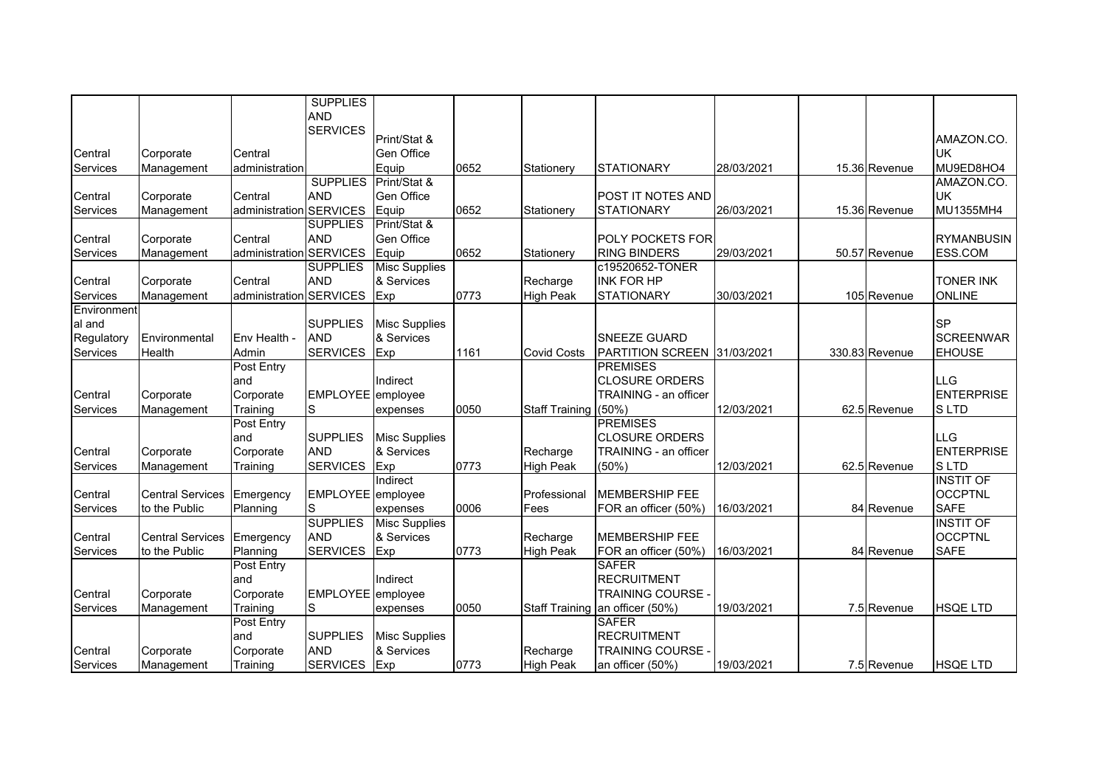|             |                         |                | <b>SUPPLIES</b>   |                      |      |                      |                                 |            |                |                   |
|-------------|-------------------------|----------------|-------------------|----------------------|------|----------------------|---------------------------------|------------|----------------|-------------------|
|             |                         |                | <b>AND</b>        |                      |      |                      |                                 |            |                |                   |
|             |                         |                | <b>SERVICES</b>   | Print/Stat &         |      |                      |                                 |            |                | AMAZON.CO.        |
| Central     | Corporate               | Central        |                   | <b>Gen Office</b>    |      |                      |                                 |            |                | <b>UK</b>         |
| Services    | Management              | administration |                   | Equip                | 0652 | Stationery           | <b>STATIONARY</b>               | 28/03/2021 | 15.36 Revenue  | MU9ED8HO4         |
|             |                         |                | <b>SUPPLIES</b>   | Print/Stat &         |      |                      |                                 |            |                | AMAZON.CO.        |
| Central     | Corporate               | Central        | <b>AND</b>        | <b>Gen Office</b>    |      |                      | <b>POST IT NOTES AND</b>        |            |                | <b>UK</b>         |
| Services    | Management              | administration | <b>SERVICES</b>   | Equip                | 0652 | Stationery           | <b>STATIONARY</b>               | 26/03/2021 | 15.36 Revenue  | MU1355MH4         |
|             |                         |                | <b>SUPPLIES</b>   | Print/Stat &         |      |                      |                                 |            |                |                   |
| Central     | Corporate               | Central        | <b>AND</b>        | <b>Gen Office</b>    |      |                      | POLY POCKETS FOR                |            |                | <b>RYMANBUSIN</b> |
| Services    | Management              | administration | <b>SERVICES</b>   | Equip                | 0652 | Stationery           | <b>RING BINDERS</b>             | 29/03/2021 | 50.57 Revenue  | <b>ESS.COM</b>    |
|             |                         |                | <b>SUPPLIES</b>   | <b>Misc Supplies</b> |      |                      | c19520652-TONER                 |            |                |                   |
| Central     | Corporate               | Central        | <b>AND</b>        | & Services           |      | Recharge             | <b>INK FOR HP</b>               |            |                | <b>TONER INK</b>  |
| Services    | Management              | administration | <b>SERVICES</b>   | Exp                  | 0773 | <b>High Peak</b>     | <b>STATIONARY</b>               | 30/03/2021 | 105 Revenue    | <b>ONLINE</b>     |
| Environment |                         |                |                   |                      |      |                      |                                 |            |                |                   |
| al and      |                         |                | <b>SUPPLIES</b>   | <b>Misc Supplies</b> |      |                      |                                 |            |                | <b>SP</b>         |
| Regulatory  | Environmental           | Env Health -   | <b>AND</b>        | & Services           |      |                      | <b>SNEEZE GUARD</b>             |            |                | <b>SCREENWAR</b>  |
| Services    | Health                  | Admin          | <b>SERVICES</b>   | Exp                  | 1161 | <b>Covid Costs</b>   | PARTITION SCREEN 31/03/2021     |            | 330.83 Revenue | <b>EHOUSE</b>     |
|             |                         | Post Entry     |                   |                      |      |                      | <b>PREMISES</b>                 |            |                |                   |
|             |                         | and            |                   | Indirect             |      |                      | <b>CLOSURE ORDERS</b>           |            |                | <b>LLG</b>        |
| Central     | Corporate               | Corporate      | EMPLOYEE employee |                      |      |                      | TRAINING - an officer           |            |                | <b>ENTERPRISE</b> |
| Services    | Management              | Training       | S                 | expenses             | 0050 | Staff Training (50%) |                                 | 12/03/2021 | 62.5 Revenue   | <b>SLTD</b>       |
|             |                         | Post Entry     |                   |                      |      |                      | <b>PREMISES</b>                 |            |                |                   |
|             |                         | and            | <b>SUPPLIES</b>   | <b>Misc Supplies</b> |      |                      | <b>CLOSURE ORDERS</b>           |            |                | LLG               |
| Central     | Corporate               | Corporate      | <b>AND</b>        | & Services           |      | Recharge             | TRAINING - an officer           |            |                | <b>ENTERPRISE</b> |
| Services    | Management              | Training       | <b>SERVICES</b>   | Exp                  | 0773 | <b>High Peak</b>     | (50%)                           | 12/03/2021 | 62.5 Revenue   | S LTD             |
|             |                         |                |                   | Indirect             |      |                      |                                 |            |                | <b>INSTIT OF</b>  |
| Central     | <b>Central Services</b> | Emergency      | EMPLOYEE employee |                      |      | Professional         | <b>MEMBERSHIP FEE</b>           |            |                | <b>OCCPTNL</b>    |
| Services    | to the Public           | Planning       | S                 | expenses             | 0006 | Fees                 | FOR an officer (50%)            | 16/03/2021 | 84 Revenue     | <b>SAFE</b>       |
|             |                         |                | <b>SUPPLIES</b>   | <b>Misc Supplies</b> |      |                      |                                 |            |                | <b>INSTIT OF</b>  |
| Central     | <b>Central Services</b> | Emergency      | <b>AND</b>        | & Services           |      | Recharge             | <b>MEMBERSHIP FEE</b>           |            |                | <b>OCCPTNL</b>    |
| Services    | to the Public           | Planning       | <b>SERVICES</b>   | Exp                  | 0773 | <b>High Peak</b>     | FOR an officer (50%)            | 16/03/2021 | 84 Revenue     | <b>SAFE</b>       |
|             |                         | Post Entry     |                   |                      |      |                      | <b>SAFER</b>                    |            |                |                   |
|             |                         | and            |                   | Indirect             |      |                      | <b>RECRUITMENT</b>              |            |                |                   |
| Central     | Corporate               | Corporate      | EMPLOYEE employee |                      |      |                      | <b>TRAINING COURSE</b>          |            |                |                   |
| Services    | Management              | Training       | S                 | expenses             | 0050 |                      | Staff Training an officer (50%) | 19/03/2021 | 7.5 Revenue    | <b>HSQE LTD</b>   |
|             |                         | Post Entry     |                   |                      |      |                      | <b>SAFER</b>                    |            |                |                   |
|             |                         | and            | <b>SUPPLIES</b>   | <b>Misc Supplies</b> |      |                      | <b>RECRUITMENT</b>              |            |                |                   |
| Central     | Corporate               | Corporate      | <b>AND</b>        | & Services           |      | Recharge             | <b>TRAINING COURSE</b>          |            |                |                   |
| Services    | Management              | Training       | <b>SERVICES</b>   | Exp                  | 0773 | <b>High Peak</b>     | an officer (50%)                | 19/03/2021 | 7.5 Revenue    | <b>HSQE LTD</b>   |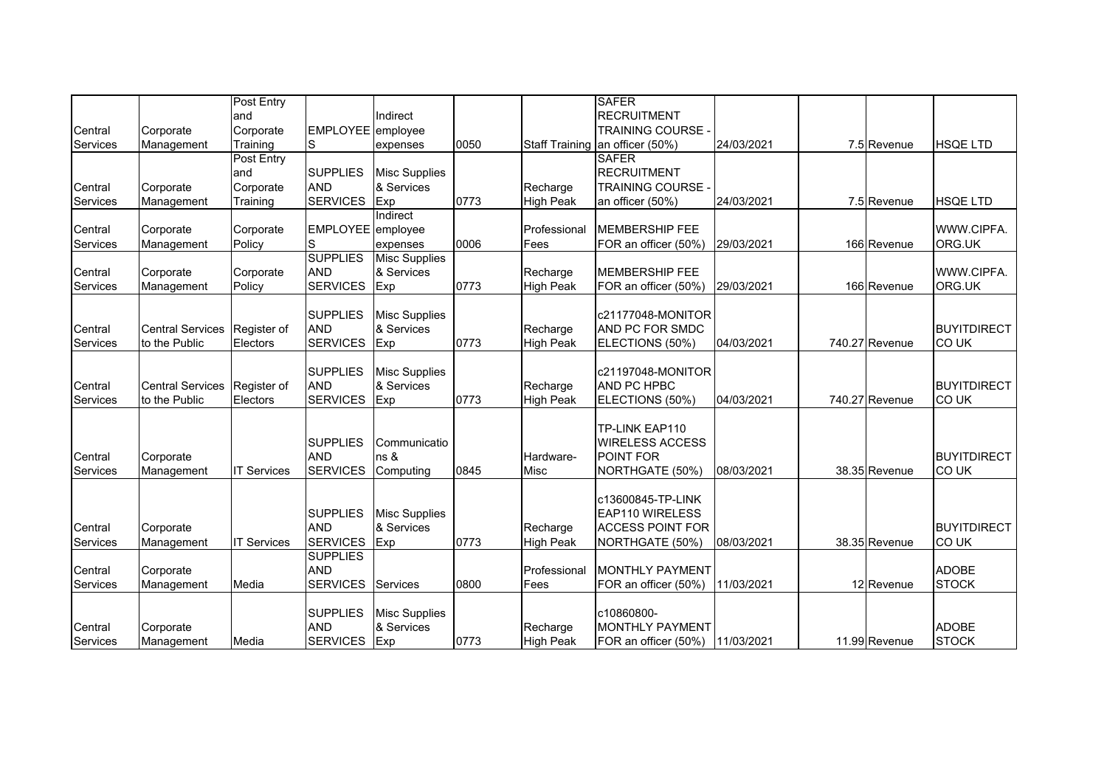|                 |                         | Post Entry         |                               |                      |      |                  | <b>SAFER</b>                        |            |                |                    |
|-----------------|-------------------------|--------------------|-------------------------------|----------------------|------|------------------|-------------------------------------|------------|----------------|--------------------|
|                 |                         | and                |                               | Indirect             |      |                  | <b>RECRUITMENT</b>                  |            |                |                    |
| Central         | Corporate               | Corporate          | EMPLOYEE employee             |                      |      |                  | <b>TRAINING COURSE -</b>            |            |                |                    |
| <b>Services</b> | Management              | Training           | S                             | expenses             | 0050 |                  | Staff Training an officer (50%)     | 24/03/2021 | 7.5 Revenue    | <b>HSQE LTD</b>    |
|                 |                         | Post Entry         |                               |                      |      |                  | <b>SAFER</b>                        |            |                |                    |
|                 |                         | land               | <b>SUPPLIES</b>               | <b>Misc Supplies</b> |      |                  | <b>RECRUITMENT</b>                  |            |                |                    |
| Central         | Corporate               | Corporate          | <b>AND</b>                    | & Services           |      | Recharge         | <b>TRAINING COURSE</b>              |            |                |                    |
| <b>Services</b> | Management              | Training           | <b>SERVICES</b>               | Exp                  | 0773 | <b>High Peak</b> | an officer (50%)                    | 24/03/2021 | 7.5 Revenue    | <b>HSQE LTD</b>    |
|                 |                         |                    |                               | Indirect             |      |                  |                                     |            |                |                    |
| Central         | Corporate               | Corporate          | EMPLOYEE employee             |                      |      | Professional     | <b>MEMBERSHIP FEE</b>               |            |                | WWW.CIPFA.         |
| Services        | Management              | Policy             | S                             | expenses             | 0006 | Fees             | FOR an officer (50%)                | 29/03/2021 | 166 Revenue    | ORG.UK             |
|                 |                         |                    | <b>SUPPLIES</b>               | <b>Misc Supplies</b> |      |                  |                                     |            |                |                    |
| Central         | Corporate               | Corporate          | <b>AND</b>                    | & Services           |      | Recharge         | <b>MEMBERSHIP FEE</b>               |            |                | WWW.CIPFA.         |
| Services        | Management              | Policy             | <b>SERVICES</b>               | Exp                  | 0773 | <b>High Peak</b> | FOR an officer (50%)                | 29/03/2021 | 166 Revenue    | ORG.UK             |
|                 |                         |                    |                               |                      |      |                  |                                     |            |                |                    |
|                 |                         |                    | <b>SUPPLIES</b>               | Misc Supplies        |      |                  | c21177048-MONITOR                   |            |                |                    |
| Central         | <b>Central Services</b> | Register of        | <b>AND</b>                    | & Services           |      | Recharge         | AND PC FOR SMDC                     |            |                | <b>BUYITDIRECT</b> |
| <b>Services</b> | to the Public           | Electors           | <b>SERVICES</b>               | Exp                  | 0773 | <b>High Peak</b> | ELECTIONS (50%)                     | 04/03/2021 | 740.27 Revenue | CO UK              |
|                 |                         |                    |                               |                      |      |                  |                                     |            |                |                    |
|                 |                         |                    | <b>SUPPLIES</b>               | <b>Misc Supplies</b> |      |                  | c21197048-MONITOR                   |            |                |                    |
| Central         | <b>Central Services</b> | Register of        | <b>AND</b>                    | & Services           |      | Recharge         | AND PC HPBC                         |            |                | <b>BUYITDIRECT</b> |
| Services        | to the Public           | Electors           | <b>SERVICES</b>               | Exp                  | 0773 | <b>High Peak</b> | ELECTIONS (50%)                     | 04/03/2021 | 740.27 Revenue | CO UK              |
|                 |                         |                    |                               |                      |      |                  |                                     |            |                |                    |
|                 |                         |                    |                               |                      |      |                  | TP-LINK EAP110                      |            |                |                    |
| Central         |                         |                    | <b>SUPPLIES</b><br><b>AND</b> | Communicatio<br>ns & |      | Hardware-        | <b>WIRELESS ACCESS</b><br>POINT FOR |            |                | <b>BUYITDIRECT</b> |
| <b>Services</b> | Corporate               | <b>IT Services</b> | <b>SERVICES</b>               | Computing            | 0845 | <b>Misc</b>      | NORTHGATE (50%)                     | 08/03/2021 | 38.35 Revenue  | CO UK              |
|                 | Management              |                    |                               |                      |      |                  |                                     |            |                |                    |
|                 |                         |                    |                               |                      |      |                  | c13600845-TP-LINK                   |            |                |                    |
|                 |                         |                    | <b>SUPPLIES</b>               | <b>Misc Supplies</b> |      |                  | <b>EAP110 WIRELESS</b>              |            |                |                    |
| Central         | Corporate               |                    | <b>AND</b>                    | & Services           |      | Recharge         | <b>ACCESS POINT FOR</b>             |            |                | <b>BUYITDIRECT</b> |
| <b>Services</b> | Management              | <b>IT Services</b> | <b>SERVICES</b>               | Exp                  | 0773 | <b>High Peak</b> | NORTHGATE (50%)                     | 08/03/2021 | 38.35 Revenue  | CO UK              |
|                 |                         |                    | <b>SUPPLIES</b>               |                      |      |                  |                                     |            |                |                    |
| Central         | Corporate               |                    | <b>AND</b>                    |                      |      | Professional     | MONTHLY PAYMENT                     |            |                | <b>ADOBE</b>       |
| <b>Services</b> | Management              | Media              | <b>SERVICES</b>               | Services             | 0800 | Fees             | FOR an officer (50%)                | 11/03/2021 | 12 Revenue     | <b>STOCK</b>       |
|                 |                         |                    |                               |                      |      |                  |                                     |            |                |                    |
|                 |                         |                    | <b>SUPPLIES</b>               | Misc Supplies        |      |                  | c10860800-                          |            |                |                    |
| Central         | Corporate               |                    | <b>AND</b>                    | & Services           |      | Recharge         | MONTHLY PAYMENT                     |            |                | <b>ADOBE</b>       |
| Services        | Management              | Media              | <b>SERVICES</b>               | Exp                  | 0773 | <b>High Peak</b> | FOR an officer (50%)                | 11/03/2021 | 11.99 Revenue  | <b>STOCK</b>       |
|                 |                         |                    |                               |                      |      |                  |                                     |            |                |                    |